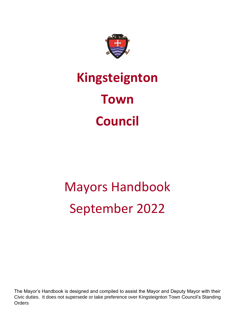

# **Kingsteignton Town Council**

# Mayors Handbook September 2022

The Mayor's Handbook is designed and compiled to assist the Mayor and Deputy Mayor with their Civic duties. It does not supersede or take preference over Kingsteignton Town Council's Standing Orders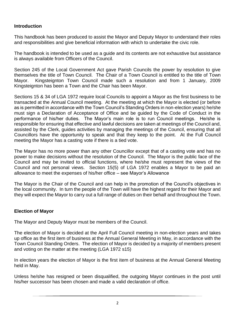## **Introduction**

This handbook has been produced to assist the Mayor and Deputy Mayor to understand their roles and responsibilities and give beneficial information with which to undertake the civic role.

The handbook is intended to be used as a guide and its contents are not exhaustive but assistance is always available from Officers of the Council.

Section 245 of the Local Government Act gave Parish Councils the power by resolution to give themselves the title of Town Council. The Chair of a Town Council is entitled to the title of Town Mayor. Kingsteignton Town Council made such a resolution and from 1 January, 2009 Kingsteignton has been a Town and the Chair has been Mayor.

Sections 15 & 34 of LGA 1972 require local Councils to appoint a Mayor as the first business to be transacted at the Annual Council meeting. At the meeting at which the Mayor is elected (or before as is permitted in accordance with the Town Council's Standing Orders in non-election years) he/she must sign a Declaration of Acceptance of Office and be guided by the Code of Conduct in the performance of his/her duties. The Mayor's main role is to run Council meetings. He/she is responsible for ensuring that effective and lawful decisions are taken at meetings of the Council and, assisted by the Clerk, guides activities by managing the meetings of the Council, ensuring that all Councillors have the opportunity to speak and that they keep to the point. At the Full Council meeting the Mayor has a casting vote if there is a tied vote.

The Mayor has no more power than any other Councillor except that of a casting vote and has no power to make decisions without the resolution of the Council. The Mayor is the public face of the Council and may be invited to official functions, where he/she must represent the views of the Council and not personal views. Section 15(5) of LGA 1972 enables a Mayor to be paid an allowance to meet the expenses of his/her office – see Mayor's Allowance

The Mayor is the Chair of the Council and can help in the promotion of the Council's objectives in the local community. In turn the people of the Town will have the highest regard for their Mayor and they will expect the Mayor to carry out a full range of duties on their behalf and throughout the Town.

# **Election of Mayor**

The Mayor and Deputy Mayor must be members of the Council.

The election of Mayor is decided at the April Full Council meeting in non-election years and takes up office as the first item of business at the Annual General Meeting in May, in accordance with the Town Council Standing Orders. The election of Mayor is decided by a majority of members present and voting on the matter at the meeting (LGA 1972 s15)

In election years the election of Mayor is the first item of business at the Annual General Meeting held in May.

Unless he/she has resigned or been disqualified, the outgoing Mayor continues in the post until his/her successor has been chosen and made a valid declaration of office.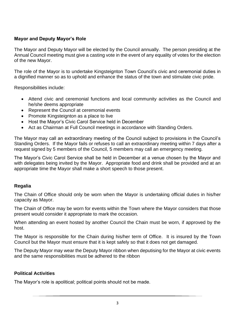# **Mayor and Deputy Mayor's Role**

The Mayor and Deputy Mayor will be elected by the Council annually. The person presiding at the Annual Council meeting must give a casting vote in the event of any equality of votes for the election of the new Mayor.

The role of the Mayor is to undertake Kingsteignton Town Council's civic and ceremonial duties in a dignified manner so as to uphold and enhance the status of the town and stimulate civic pride.

Responsibilities include:

- Attend civic and ceremonial functions and local community activities as the Council and he/she deems appropriate
- Represent the Council at ceremonial events
- Promote Kingsteignton as a place to live
- Host the Mayor's Civic Carol Service held in December
- Act as Chairman at Full Council meetings in accordance with Standing Orders.

The Mayor may call an extraordinary meeting of the Council subject to provisions in the Council's Standing Orders. If the Mayor fails or refuses to call an extraordinary meeting within 7 days after a request signed by 5 members of the Council, 5 members may call an emergency meeting.

The Mayor's Civic Carol Service shall be held in December at a venue chosen by the Mayor and with delegates being invited by the Mayor. Appropriate food and drink shall be provided and at an appropriate time the Mayor shall make a short speech to those present.

#### **Regalia**

The Chain of Office should only be worn when the Mayor is undertaking official duties in his/her capacity as Mayor.

The Chain of Office may be worn for events within the Town where the Mayor considers that those present would consider it appropriate to mark the occasion.

When attending an event hosted by another Council the Chain must be worn, if approved by the host.

The Mayor is responsible for the Chain during his/her term of Office. It is insured by the Town Council but the Mayor must ensure that it is kept safely so that it does not get damaged.

The Deputy Mayor may wear the Deputy Mayor ribbon when deputising for the Mayor at civic events and the same responsibilities must be adhered to the ribbon

#### **Political Activities**

The Mayor's role is apolitical; political points should not be made.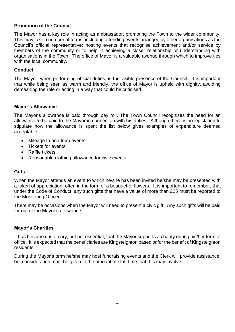## **Promotion of the Council**

The Mayor has a key role in acting as ambassador, promoting the Town to the wider community. This may take a number of forms, including attending events arranged by other organisations as the Council's official representative; hosting events that recognise achievement and/or service by members of the community or to help in achieving a closer relationship or understanding with organisations in the Town. The office of Mayor is a valuable avenue through which to improve ties with the local community.

#### **Conduct**

The Mayor, when performing official duties, is the visible presence of the Council. It is important that while being seen as warm and friendly, the office of Mayor is upheld with dignity, avoiding demeaning the role or acting in a way that could be criticised.

#### **Mayor's Allowance**

The Mayor's allowance is paid through pay roll. The Town Council recognises the need for an allowance to be paid to the Mayor in connection with his duties. Although there is no legislation to stipulate how the allowance is spent the list below gives examples of expenditure deemed acceptable:

- Mileage to and from events
- Tickets for events
- Raffle tickets
- Reasonable clothing allowance for civic events

#### **Gifts**

When the Mayor attends an event to which he/she has been invited he/she may be presented with a token of appreciation, often in the form of a bouquet of flowers. It is important to remember, that under the Code of Conduct, any such gifts that have a value of more than £25 must be reported to the Monitoring Officer.

There may be occasions when the Mayor will need to present a civic gift. Any such gifts will be paid for out of the Mayor's allowance.

#### **Mayor's Charities**

It has become customary, but not essential, that the Mayor supports a charity during his/her term of office. It is expected that the beneficiaries are Kingsteignton based or for the benefit of Kingsteignton residents.

During the Mayor's term he/she may host fundraising events and the Clerk will provide assistance, but consideration must be given to the amount of staff time that this may involve.